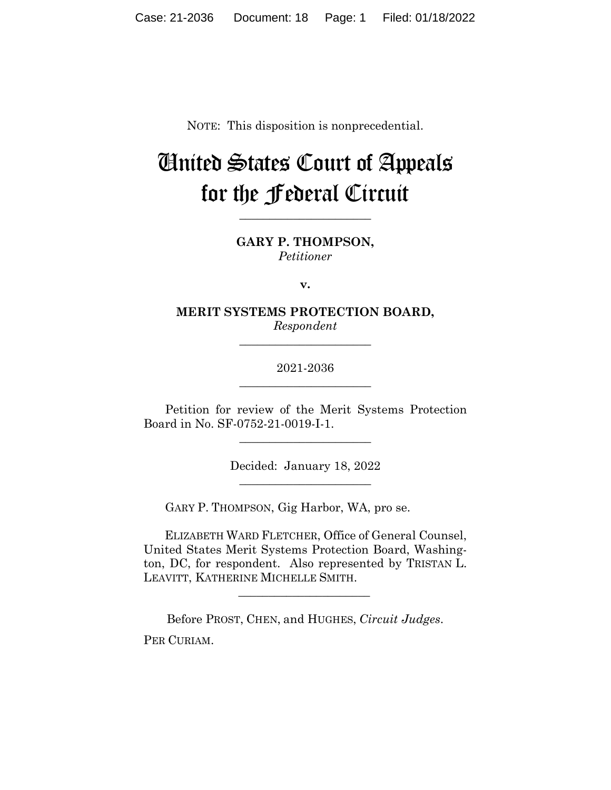NOTE: This disposition is nonprecedential.

# United States Court of Appeals for the Federal Circuit

**GARY P. THOMPSON,** *Petitioner*

**\_\_\_\_\_\_\_\_\_\_\_\_\_\_\_\_\_\_\_\_\_\_** 

**v.**

**MERIT SYSTEMS PROTECTION BOARD,** *Respondent*

**\_\_\_\_\_\_\_\_\_\_\_\_\_\_\_\_\_\_\_\_\_\_** 

2021-2036 **\_\_\_\_\_\_\_\_\_\_\_\_\_\_\_\_\_\_\_\_\_\_** 

Petition for review of the Merit Systems Protection Board in No. SF-0752-21-0019-I-1.

 $\overline{\phantom{a}}$  , we can assume that the contract of  $\overline{\phantom{a}}$ 

Decided: January 18, 2022  $\overline{\phantom{a}}$  , we can assume that the contract of  $\overline{\phantom{a}}$ 

GARY P. THOMPSON, Gig Harbor, WA, pro se.

 ELIZABETH WARD FLETCHER, Office of General Counsel, United States Merit Systems Protection Board, Washington, DC, for respondent. Also represented by TRISTAN L. LEAVITT, KATHERINE MICHELLE SMITH.

Before PROST, CHEN, and HUGHES, *Circuit Judges*. PER CURIAM.

 $\mathcal{L}_\text{max}$  and  $\mathcal{L}_\text{max}$  and  $\mathcal{L}_\text{max}$  and  $\mathcal{L}_\text{max}$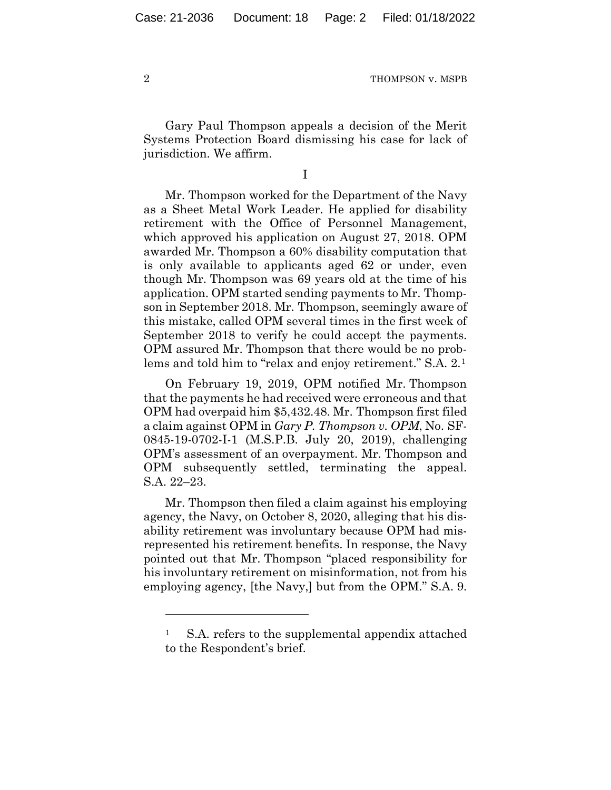2 THOMPSON v. MSPB

Gary Paul Thompson appeals a decision of the Merit Systems Protection Board dismissing his case for lack of jurisdiction. We affirm.

I

Mr. Thompson worked for the Department of the Navy as a Sheet Metal Work Leader. He applied for disability retirement with the Office of Personnel Management, which approved his application on August 27, 2018. OPM awarded Mr. Thompson a 60% disability computation that is only available to applicants aged 62 or under, even though Mr. Thompson was 69 years old at the time of his application. OPM started sending payments to Mr. Thompson in September 2018. Mr. Thompson, seemingly aware of this mistake, called OPM several times in the first week of September 2018 to verify he could accept the payments. OPM assured Mr. Thompson that there would be no problems and told him to "relax and enjoy retirement." S.A. 2.1

On February 19, 2019, OPM notified Mr. Thompson that the payments he had received were erroneous and that OPM had overpaid him \$5,432.48. Mr. Thompson first filed a claim against OPM in *Gary P. Thompson v. OPM*, No. SF-0845-19-0702-I-1 (M.S.P.B. July 20, 2019), challenging OPM's assessment of an overpayment. Mr. Thompson and OPM subsequently settled, terminating the appeal. S.A. 22–23.

Mr. Thompson then filed a claim against his employing agency, the Navy, on October 8, 2020, alleging that his disability retirement was involuntary because OPM had misrepresented his retirement benefits. In response, the Navy pointed out that Mr. Thompson "placed responsibility for his involuntary retirement on misinformation, not from his employing agency, [the Navy,] but from the OPM." S.A. 9.

<sup>&</sup>lt;sup>1</sup> S.A. refers to the supplemental appendix attached to the Respondent's brief.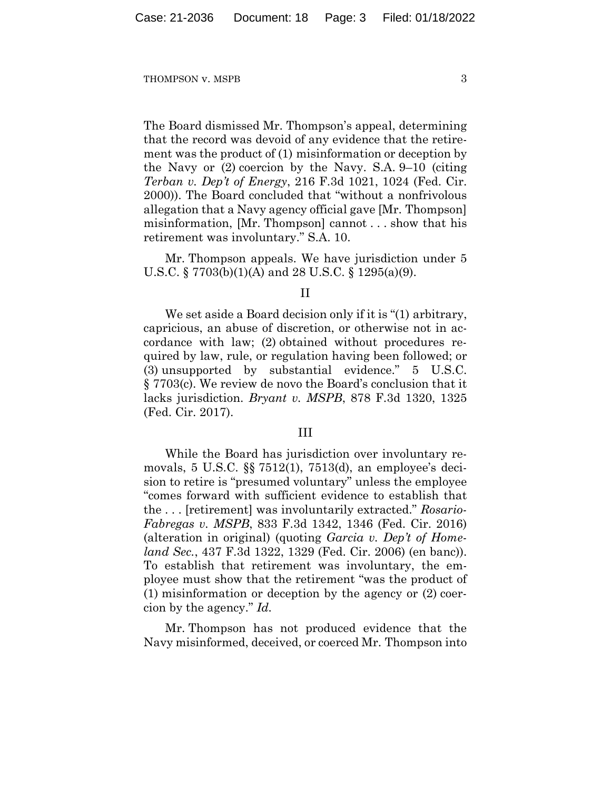#### THOMPSON v. MSPB 3

The Board dismissed Mr. Thompson's appeal, determining that the record was devoid of any evidence that the retirement was the product of (1) misinformation or deception by the Navy or (2) coercion by the Navy. S.A. 9–10 (citing *Terban v. Dep't of Energy*, 216 F.3d 1021, 1024 (Fed. Cir. 2000)). The Board concluded that "without a nonfrivolous allegation that a Navy agency official gave [Mr. Thompson] misinformation, [Mr. Thompson] cannot . . . show that his retirement was involuntary." S.A. 10.

Mr. Thompson appeals. We have jurisdiction under 5 U.S.C. § 7703(b)(1)(A) and 28 U.S.C. § 1295(a)(9).

#### II

We set aside a Board decision only if it is "(1) arbitrary, capricious, an abuse of discretion, or otherwise not in accordance with law; (2) obtained without procedures required by law, rule, or regulation having been followed; or (3) unsupported by substantial evidence." 5 U.S.C. § 7703(c). We review de novo the Board's conclusion that it lacks jurisdiction. *Bryant v. MSPB*, 878 F.3d 1320, 1325 (Fed. Cir. 2017).

#### III

While the Board has jurisdiction over involuntary removals, 5 U.S.C. §§ 7512(1), 7513(d), an employee's decision to retire is "presumed voluntary" unless the employee "comes forward with sufficient evidence to establish that the . . . [retirement] was involuntarily extracted." *Rosario-Fabregas v. MSPB*, 833 F.3d 1342, 1346 (Fed. Cir. 2016) (alteration in original) (quoting *Garcia v. Dep't of Homeland Sec.*, 437 F.3d 1322, 1329 (Fed. Cir. 2006) (en banc)). To establish that retirement was involuntary, the employee must show that the retirement "was the product of (1) misinformation or deception by the agency or (2) coercion by the agency." *Id.*

Mr. Thompson has not produced evidence that the Navy misinformed, deceived, or coerced Mr. Thompson into